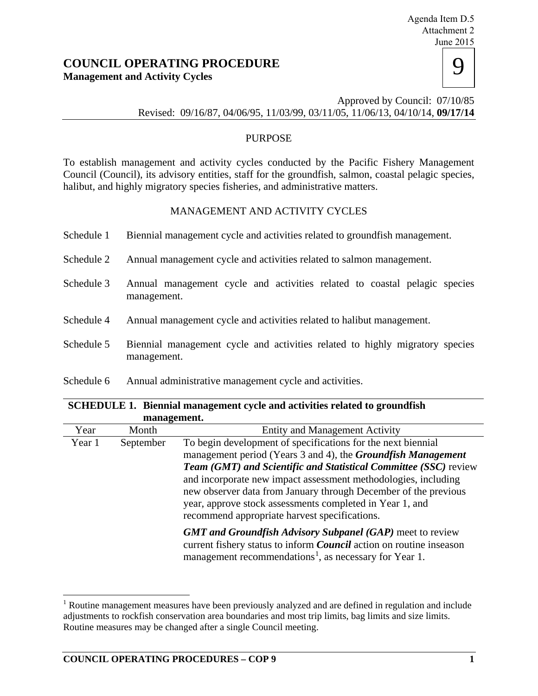# **COUNCIL OPERATING PROCEDURE Management and Activity Cycles**

| ıе<br>-201<br>- | ∍ |
|-----------------|---|
|                 |   |
|                 |   |

Approved by Council: 07/10/85 Revised: 09/16/87, 04/06/95, 11/03/99, 03/11/05, 11/06/13, 04/10/14, **09/17/14** 

### PURPOSE

To establish management and activity cycles conducted by the Pacific Fishery Management Council (Council), its advisory entities, staff for the groundfish, salmon, coastal pelagic species, halibut, and highly migratory species fisheries, and administrative matters.

## MANAGEMENT AND ACTIVITY CYCLES

- Schedule 1 Biennial management cycle and activities related to groundfish management.
- Schedule 2 Annual management cycle and activities related to salmon management.
- Schedule 3 Annual management cycle and activities related to coastal pelagic species management.
- Schedule 4 Annual management cycle and activities related to halibut management.
- Schedule 5 Biennial management cycle and activities related to highly migratory species management.
- Schedule 6 Annual administrative management cycle and activities.

#### **SCHEDULE 1. Biennial management cycle and activities related to groundfish management.**

| Year   | Month     | <b>Entity and Management Activity</b>                                      |
|--------|-----------|----------------------------------------------------------------------------|
| Year 1 | September | To begin development of specifications for the next biennial               |
|        |           | management period (Years 3 and 4), the <i>Groundfish Management</i>        |
|        |           | <b>Team (GMT) and Scientific and Statistical Committee (SSC) review</b>    |
|        |           | and incorporate new impact assessment methodologies, including             |
|        |           | new observer data from January through December of the previous            |
|        |           | year, approve stock assessments completed in Year 1, and                   |
|        |           | recommend appropriate harvest specifications.                              |
|        |           | <b>GMT and Groundfish Advisory Subpanel (GAP)</b> meet to review           |
|        |           | current fishery status to inform <i>Council</i> action on routine inseason |
|        |           | management recommendations <sup>1</sup> , as necessary for Year 1.         |
|        |           |                                                                            |

<span id="page-0-0"></span><sup>&</sup>lt;sup>1</sup> Routine management measures have been previously analyzed and are defined in regulation and include adjustments to rockfish conservation area boundaries and most trip limits, bag limits and size limits. Routine measures may be changed after a single Council meeting. t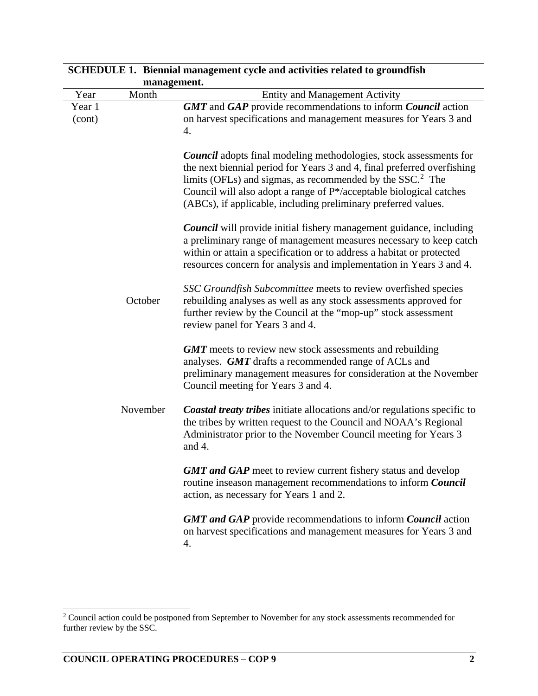|                  | management. |                                                                                                                                                                                                                                                                                                                                                                        |  |
|------------------|-------------|------------------------------------------------------------------------------------------------------------------------------------------------------------------------------------------------------------------------------------------------------------------------------------------------------------------------------------------------------------------------|--|
| Year             | Month       | <b>Entity and Management Activity</b>                                                                                                                                                                                                                                                                                                                                  |  |
| Year 1<br>(cont) |             | GMT and GAP provide recommendations to inform Council action<br>on harvest specifications and management measures for Years 3 and<br>4.                                                                                                                                                                                                                                |  |
|                  |             | <b>Council</b> adopts final modeling methodologies, stock assessments for<br>the next biennial period for Years 3 and 4, final preferred overfishing<br>limits (OFLs) and sigmas, as recommended by the SSC. <sup>2</sup> The<br>Council will also adopt a range of P*/acceptable biological catches<br>(ABCs), if applicable, including preliminary preferred values. |  |
|                  |             | <b>Council</b> will provide initial fishery management guidance, including<br>a preliminary range of management measures necessary to keep catch<br>within or attain a specification or to address a habitat or protected<br>resources concern for analysis and implementation in Years 3 and 4.                                                                       |  |
|                  | October     | SSC Groundfish Subcommittee meets to review overfished species<br>rebuilding analyses as well as any stock assessments approved for<br>further review by the Council at the "mop-up" stock assessment<br>review panel for Years 3 and 4.                                                                                                                               |  |
|                  |             | <b>GMT</b> meets to review new stock assessments and rebuilding<br>analyses. GMT drafts a recommended range of ACLs and<br>preliminary management measures for consideration at the November<br>Council meeting for Years 3 and 4.                                                                                                                                     |  |
|                  | November    | <b>Coastal treaty tribes</b> initiate allocations and/or regulations specific to<br>the tribes by written request to the Council and NOAA's Regional<br>Administrator prior to the November Council meeting for Years 3<br>and 4.                                                                                                                                      |  |
|                  |             | <b>GMT and GAP</b> meet to review current fishery status and develop<br>routine inseason management recommendations to inform Council<br>action, as necessary for Years 1 and 2.                                                                                                                                                                                       |  |
|                  |             | <b>GMT and GAP</b> provide recommendations to inform <i>Council</i> action<br>on harvest specifications and management measures for Years 3 and<br>4.                                                                                                                                                                                                                  |  |

**SCHEDULE 1. Biennial management cycle and activities related to groundfish** 

<span id="page-1-0"></span> $2$  Council action could be postponed from September to November for any stock assessments recommended for further review by the SSC. Ĩ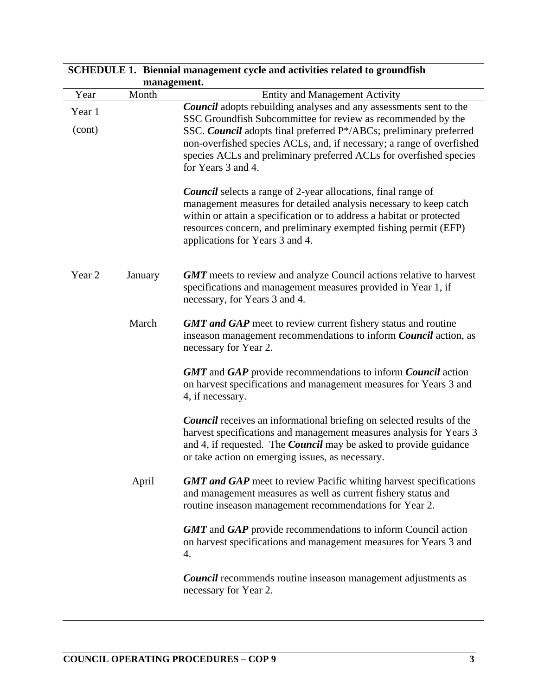| management.      |         |                                                                                                                                                                                                                                                                                                                                                                                      |
|------------------|---------|--------------------------------------------------------------------------------------------------------------------------------------------------------------------------------------------------------------------------------------------------------------------------------------------------------------------------------------------------------------------------------------|
| Year             | Month   | <b>Entity and Management Activity</b>                                                                                                                                                                                                                                                                                                                                                |
| Year 1<br>(cont) |         | <b>Council</b> adopts rebuilding analyses and any assessments sent to the<br>SSC Groundfish Subcommittee for review as recommended by the<br>SSC. Council adopts final preferred P*/ABCs; preliminary preferred<br>non-overfished species ACLs, and, if necessary; a range of overfished<br>species ACLs and preliminary preferred ACLs for overfished species<br>for Years 3 and 4. |
|                  |         | <b>Council</b> selects a range of 2-year allocations, final range of<br>management measures for detailed analysis necessary to keep catch<br>within or attain a specification or to address a habitat or protected<br>resources concern, and preliminary exempted fishing permit (EFP)<br>applications for Years 3 and 4.                                                            |
| Year 2           | January | <b>GMT</b> meets to review and analyze Council actions relative to harvest<br>specifications and management measures provided in Year 1, if<br>necessary, for Years 3 and 4.                                                                                                                                                                                                         |
|                  | March   | <b>GMT and GAP</b> meet to review current fishery status and routine<br>inseason management recommendations to inform <i>Council</i> action, as<br>necessary for Year 2.                                                                                                                                                                                                             |
|                  |         | <b>GMT</b> and <b>GAP</b> provide recommendations to inform <b>Council</b> action<br>on harvest specifications and management measures for Years 3 and<br>4, if necessary.                                                                                                                                                                                                           |
|                  |         | <b>Council</b> receives an informational briefing on selected results of the<br>harvest specifications and management measures analysis for Years 3<br>and 4, if requested. The <i>Council</i> may be asked to provide guidance<br>or take action on emerging issues, as necessary.                                                                                                  |
|                  | April   | <b>GMT and GAP</b> meet to review Pacific whiting harvest specifications<br>and management measures as well as current fishery status and<br>routine inseason management recommendations for Year 2.                                                                                                                                                                                 |
|                  |         | <b>GMT</b> and <b>GAP</b> provide recommendations to inform Council action<br>on harvest specifications and management measures for Years 3 and<br>4.                                                                                                                                                                                                                                |
|                  |         | <b>Council</b> recommends routine inseason management adjustments as<br>necessary for Year 2.                                                                                                                                                                                                                                                                                        |

**SCHEDULE 1. Biennial management cycle and activities related to groundfish**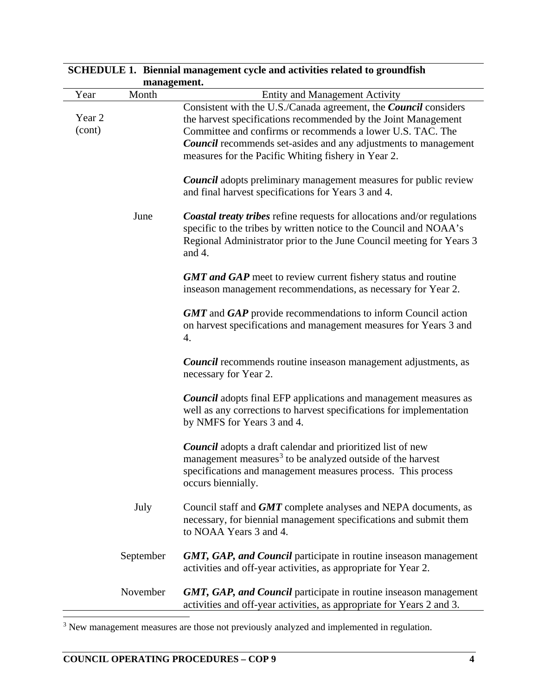|                  | management. |                                                                                                                                                                                                                                                                                                                                   |  |
|------------------|-------------|-----------------------------------------------------------------------------------------------------------------------------------------------------------------------------------------------------------------------------------------------------------------------------------------------------------------------------------|--|
| Year             | Month       | <b>Entity and Management Activity</b>                                                                                                                                                                                                                                                                                             |  |
| Year 2<br>(cont) |             | Consistent with the U.S./Canada agreement, the Council considers<br>the harvest specifications recommended by the Joint Management<br>Committee and confirms or recommends a lower U.S. TAC. The<br><b>Council</b> recommends set-asides and any adjustments to management<br>measures for the Pacific Whiting fishery in Year 2. |  |
|                  |             | <b>Council</b> adopts preliminary management measures for public review<br>and final harvest specifications for Years 3 and 4.                                                                                                                                                                                                    |  |
|                  | June        | <b>Coastal treaty tribes</b> refine requests for allocations and/or regulations<br>specific to the tribes by written notice to the Council and NOAA's<br>Regional Administrator prior to the June Council meeting for Years 3<br>and $4$ .                                                                                        |  |
|                  |             | <b>GMT and GAP</b> meet to review current fishery status and routine<br>inseason management recommendations, as necessary for Year 2.                                                                                                                                                                                             |  |
|                  |             | <b>GMT</b> and <b>GAP</b> provide recommendations to inform Council action<br>on harvest specifications and management measures for Years 3 and<br>4.                                                                                                                                                                             |  |
|                  |             | <b>Council</b> recommends routine inseason management adjustments, as<br>necessary for Year 2.                                                                                                                                                                                                                                    |  |
|                  |             | <b>Council</b> adopts final EFP applications and management measures as<br>well as any corrections to harvest specifications for implementation<br>by NMFS for Years 3 and 4.                                                                                                                                                     |  |
|                  |             | <b>Council</b> adopts a draft calendar and prioritized list of new<br>management measures <sup>3</sup> to be analyzed outside of the harvest<br>specifications and management measures process. This process<br>occurs biennially.                                                                                                |  |
|                  | July        | Council staff and <b>GMT</b> complete analyses and NEPA documents, as<br>necessary, for biennial management specifications and submit them<br>to NOAA Years 3 and 4.                                                                                                                                                              |  |
|                  | September   | <b>GMT, GAP, and Council</b> participate in routine inseason management<br>activities and off-year activities, as appropriate for Year 2.                                                                                                                                                                                         |  |
|                  | November    | <b>GMT, GAP, and Council</b> participate in routine inseason management<br>activities and off-year activities, as appropriate for Years 2 and 3.                                                                                                                                                                                  |  |

# **SCHEDULE 1. Biennial management cycle and activities related to groundfish**

<span id="page-3-0"></span> $3$  New management measures are those not previously analyzed and implemented in regulation. t